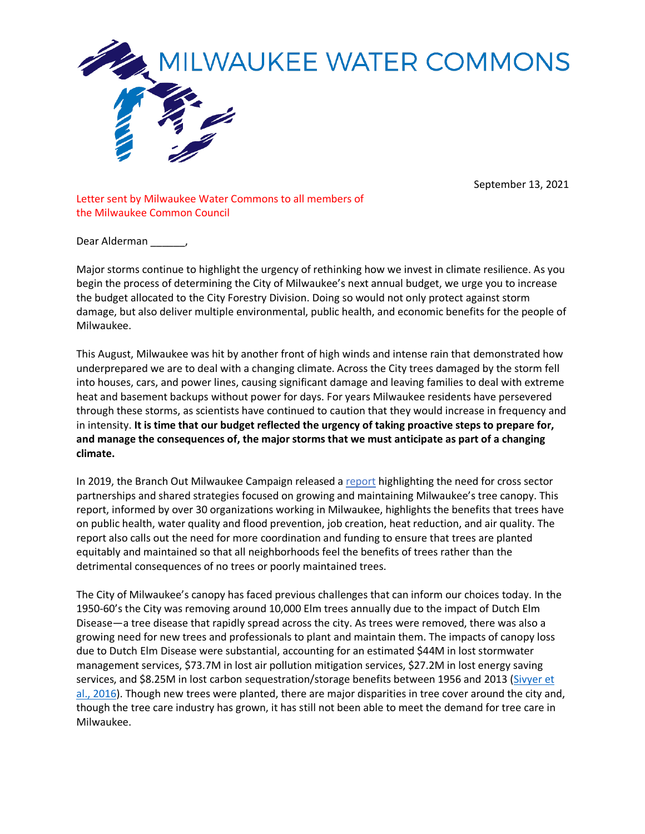

## MILWAUKEE WATER COMMONS

September 13, 2021

Letter sent by Milwaukee Water Commons to all members of the Milwaukee Common Council

Dear Alderman \_\_\_\_\_,

Major storms continue to highlight the urgency of rethinking how we invest in climate resilience. As you begin the process of determining the City of Milwaukee's next annual budget, we urge you to increase the budget allocated to the City Forestry Division. Doing so would not only protect against storm damage, but also deliver multiple environmental, public health, and economic benefits for the people of Milwaukee.

This August, Milwaukee was hit by another front of high winds and intense rain that demonstrated how underprepared we are to deal with a changing climate. Across the City trees damaged by the storm fell into houses, cars, and power lines, causing significant damage and leaving families to deal with extreme heat and basement backups without power for days. For years Milwaukee residents have persevered through these storms, as scientists have continued to caution that they would increase in frequency and in intensity. **It is time that our budget reflected the urgency of taking proactive steps to prepare for, and manage the consequences of, the major storms that we must anticipate as part of a changing climate.**

In 2019, the Branch Out Milwaukee Campaign released a report highlighting the need for cross sector partnerships and shared strategies focused on growing and maintaining Milwaukee's tree canopy. This report, informed by over 30 organizations working in Milwaukee, highlights the benefits that trees have on public health, water quality and flood prevention, job creation, heat reduction, and air quality. The report also calls out the need for more coordination and funding to ensure that trees are planted equitably and maintained so that all neighborhoods feel the benefits of trees rather than the detrimental consequences of no trees or poorly maintained trees.

The City of Milwaukee's canopy has faced previous challenges that can inform our choices today. In the 1950-60's the City was removing around 10,000 Elm trees annually due to the impact of Dutch Elm Disease—a tree disease that rapidly spread across the city. As trees were removed, there was also a growing need for new trees and professionals to plant and maintain them. The impacts of canopy loss due to Dutch Elm Disease were substantial, accounting for an estimated \$44M in lost stormwater management services, \$73.7M in lost air pollution mitigation services, \$27.2M in lost energy saving services, and \$8.25M in lost carbon sequestration/storage benefits between 1956 and 2013 (Sivyer et al., 2016). Though new trees were planted, there are major disparities in tree cover around the city and, though the tree care industry has grown, it has still not been able to meet the demand for tree care in Milwaukee.